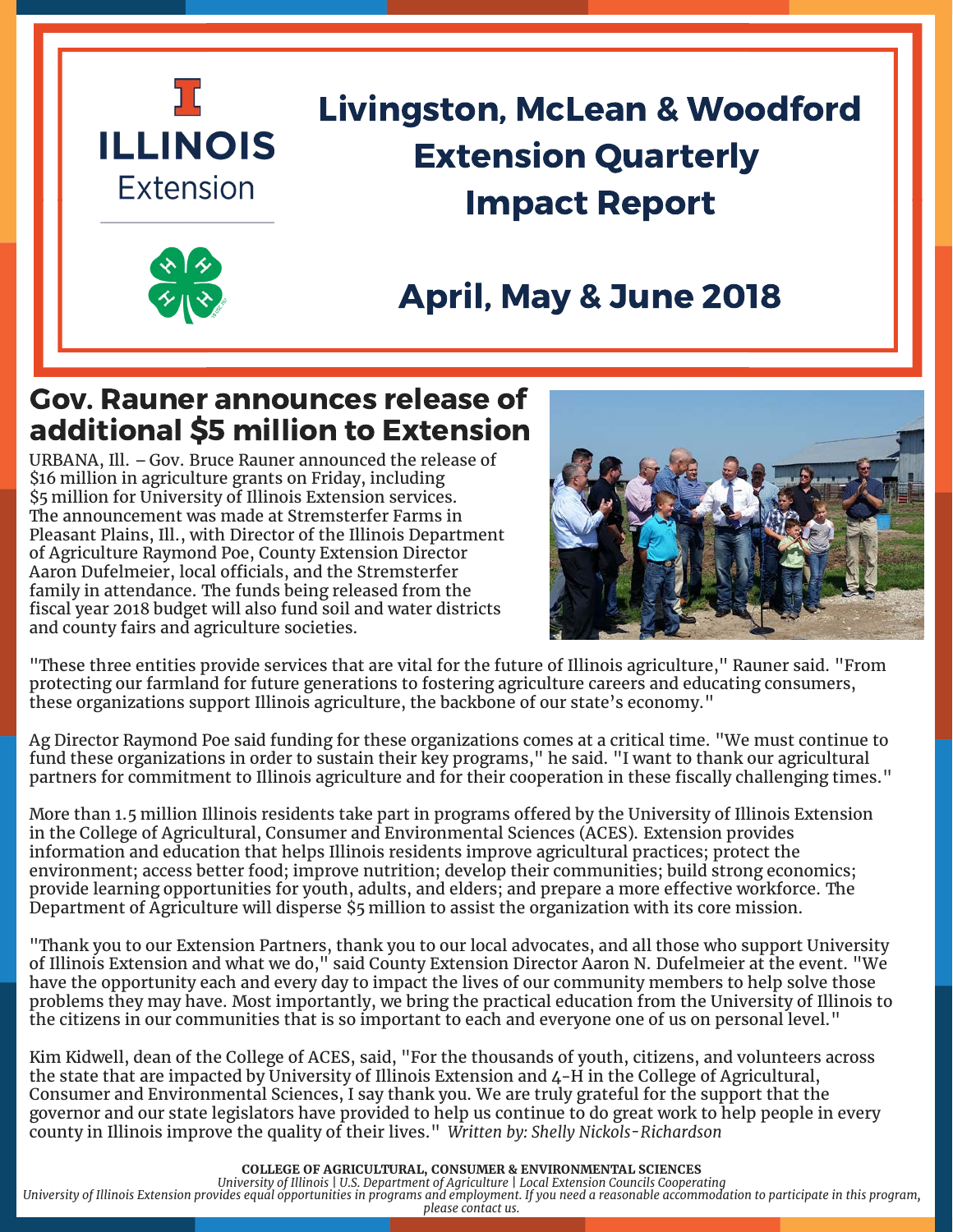

# Livingston, McLean & Woodford Extension Quarterly Impact Report

## April, May & June 2018

### Gov. Rauner announces release of additional \$5 million to Extension

URBANA, Ill. – Gov. Bruce Rauner announced the release of \$16 million in agriculture grants on Friday, including \$5 million for University of Illinois Extension services. The announcement was made at Stremsterfer Farms in Pleasant Plains, Ill., with Director of the Illinois Department of Agriculture Raymond Poe, County Extension Director Aaron Dufelmeier, local officials, and the Stremsterfer family in attendance. The funds being released from the fiscal year 2018 budget will also fund soil and water districts and county fairs and agriculture societies.



"These three entities provide services that are vital for the future of Illinois agriculture," Rauner said. "From protecting our farmland for future generations to fostering agriculture careers and educating consumers, these organizations support Illinois agriculture, the backbone of our state's economy."

Ag Director Raymond Poe said funding for these organizations comes at a critical time. "We must continue to fund these organizations in order to sustain their key programs," he said. "I want to thank our agricultural partners for commitment to Illinois agriculture and for their cooperation in these fiscally challenging times."

More than 1.5 million Illinois residents take part in programs offered by the University of Illinois Extension in the College of Agricultural, Consumer and Environmental Sciences (ACES). Extension provides information and education that helps Illinois residents improve agricultural practices; protect the environment; access better food; improve nutrition; develop their communities; build strong economics; provide learning opportunities for youth, adults, and elders; and prepare a more effective workforce. The Department of Agriculture will disperse \$5 million to assist the organization with its core mission.

"Thank you to our Extension Partners, thank you to our local advocates, and all those who support University of Illinois Extension and what we do," said County Extension Director Aaron N. Dufelmeier at the event. "We have the opportunity each and every day to impact the lives of our community members to help solve those problems they may have. Most importantly, we bring the practical education from the University of Illinois to the citizens in our communities that is so important to each and everyone one of us on personal level."

Kim Kidwell, dean of the College of ACES, said, "For the thousands of youth, citizens, and volunteers across the state that are impacted by University of Illinois Extension and 4-H in the College of Agricultural, Consumer and Environmental Sciences, I say thank you. We are truly grateful for the support that the governor and our state legislators have provided to help us continue to do great work to help people in every county in Illinois improve the quality of their lives." *Written by: Shelly Nickols-Richardson*

**COLLEGE OF AGRICULTURAL, CONSUMER & ENVIRONMENTAL SCIENCES**  *University of Illinois | U.S. Department of Agriculture | Local Extension Councils Cooperating University of Illinois Extension provides equal opportunities in programs and employment. If you need a reasonable accommodation to participate in this program, please contact us.*